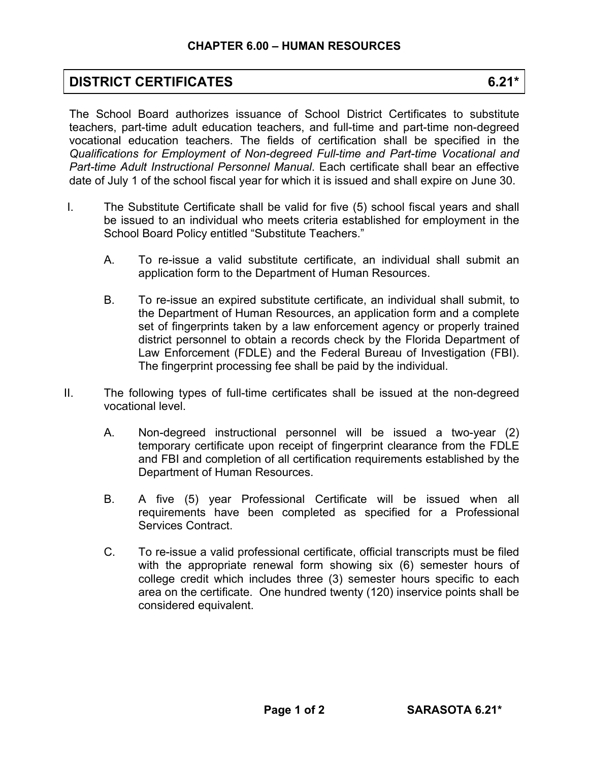## **DISTRICT CERTIFICATES 6.21\***

The School Board authorizes issuance of School District Certificates to substitute teachers, part-time adult education teachers, and full-time and part-time non-degreed vocational education teachers. The fields of certification shall be specified in the *Qualifications for Employment of Non-degreed Full-time and Part-time Vocational and Part-time Adult Instructional Personnel Manual*. Each certificate shall bear an effective date of July 1 of the school fiscal year for which it is issued and shall expire on June 30.

- I. The Substitute Certificate shall be valid for five (5) school fiscal years and shall be issued to an individual who meets criteria established for employment in the School Board Policy entitled "Substitute Teachers."
	- A. To re-issue a valid substitute certificate, an individual shall submit an application form to the Department of Human Resources.
	- B. To re-issue an expired substitute certificate, an individual shall submit, to the Department of Human Resources, an application form and a complete set of fingerprints taken by a law enforcement agency or properly trained district personnel to obtain a records check by the Florida Department of Law Enforcement (FDLE) and the Federal Bureau of Investigation (FBI). The fingerprint processing fee shall be paid by the individual.
- II. The following types of full-time certificates shall be issued at the non-degreed vocational level.
	- A. Non-degreed instructional personnel will be issued a two-year (2) temporary certificate upon receipt of fingerprint clearance from the FDLE and FBI and completion of all certification requirements established by the Department of Human Resources.
	- B. A five (5) year Professional Certificate will be issued when all requirements have been completed as specified for a Professional Services Contract.
	- C. To re-issue a valid professional certificate, official transcripts must be filed with the appropriate renewal form showing six (6) semester hours of college credit which includes three (3) semester hours specific to each area on the certificate. One hundred twenty (120) inservice points shall be considered equivalent.